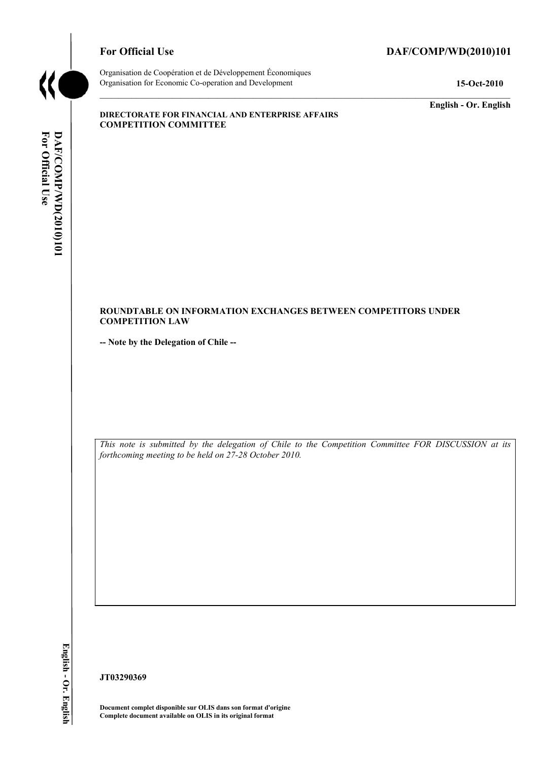

### For Official Use DAF/COMP/WD(2010)101

Organisation de Coopération et de Développement Économiques Organisation for Economic Co-operation and Development **15-Oct-2010** 

**English - Or. English** 

#### **DIRECTORATE FOR FINANCIAL AND ENTERPRISE AFFAIRS COMPETITION COMMITTEE**

#### **ROUNDTABLE ON INFORMATION EXCHANGES BETWEEN COMPETITORS UNDER COMPETITION LAW**

**-- Note by the Delegation of Chile --** 

*This note is submitted by the delegation of Chile to the Competition Committee FOR DISCUSSION at its forthcoming meeting to be held on 27-28 October 2010.* 

English - Or. English

**JT03290369** 

**Document complet disponible sur OLIS dans son format d'origine Complete document available on OLIS in its original format**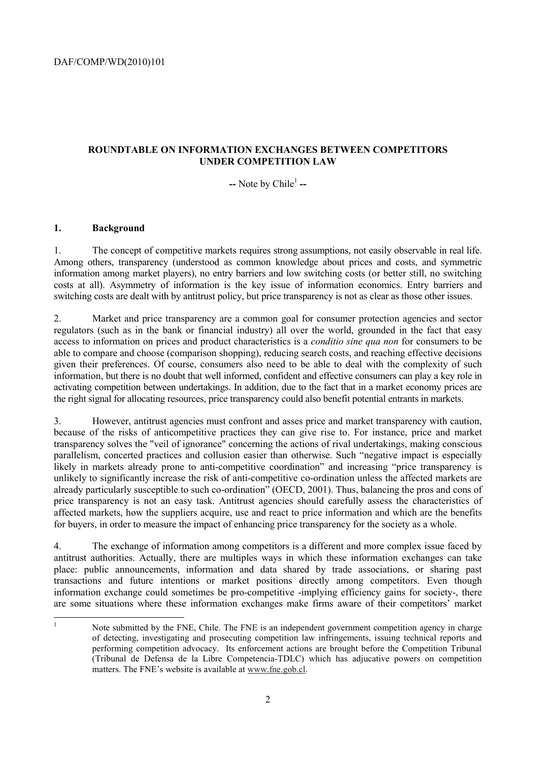### **ROUNDTABLE ON INFORMATION EXCHANGES BETWEEN COMPETITORS UNDER COMPETITION LAW**

-- Note by Chile<sup>1</sup> --

### **1. Background**

|<br>|<br>|

1. The concept of competitive markets requires strong assumptions, not easily observable in real life. Among others, transparency (understood as common knowledge about prices and costs, and symmetric information among market players), no entry barriers and low switching costs (or better still, no switching costs at all). Asymmetry of information is the key issue of information economics. Entry barriers and switching costs are dealt with by antitrust policy, but price transparency is not as clear as those other issues.

2. Market and price transparency are a common goal for consumer protection agencies and sector regulators (such as in the bank or financial industry) all over the world, grounded in the fact that easy access to information on prices and product characteristics is a *conditio sine qua non* for consumers to be able to compare and choose (comparison shopping), reducing search costs, and reaching effective decisions given their preferences. Of course, consumers also need to be able to deal with the complexity of such information, but there is no doubt that well informed, confident and effective consumers can play a key role in activating competition between undertakings. In addition, due to the fact that in a market economy prices are the right signal for allocating resources, price transparency could also benefit potential entrants in markets.

3. However, antitrust agencies must confront and asses price and market transparency with caution, because of the risks of anticompetitive practices they can give rise to. For instance, price and market transparency solves the "veil of ignorance" concerning the actions of rival undertakings, making conscious parallelism, concerted practices and collusion easier than otherwise. Such "negative impact is especially likely in markets already prone to anti-competitive coordination" and increasing "price transparency is unlikely to significantly increase the risk of anti-competitive co-ordination unless the affected markets are already particularly susceptible to such co-ordination" (OECD, 2001). Thus, balancing the pros and cons of price transparency is not an easy task. Antitrust agencies should carefully assess the characteristics of affected markets, how the suppliers acquire, use and react to price information and which are the benefits for buyers, in order to measure the impact of enhancing price transparency for the society as a whole.

4. The exchange of information among competitors is a different and more complex issue faced by antitrust authorities. Actually, there are multiples ways in which these information exchanges can take place: public announcements, information and data shared by trade associations, or sharing past transactions and future intentions or market positions directly among competitors. Even though information exchange could sometimes be pro-competitive -implying efficiency gains for society-, there are some situations where these information exchanges make firms aware of their competitors' market

 Note submitted by the FNE, Chile. The FNE is an independent government competition agency in charge of detecting, investigating and prosecuting competition law infringements, issuing technical reports and performing competition advocacy. Its enforcement actions are brought before the Competition Tribunal (Tribunal de Defensa de la Libre Competencia-TDLC) which has adjucative powers on competition matters. The FNE's website is available at www.fne.gob.cl.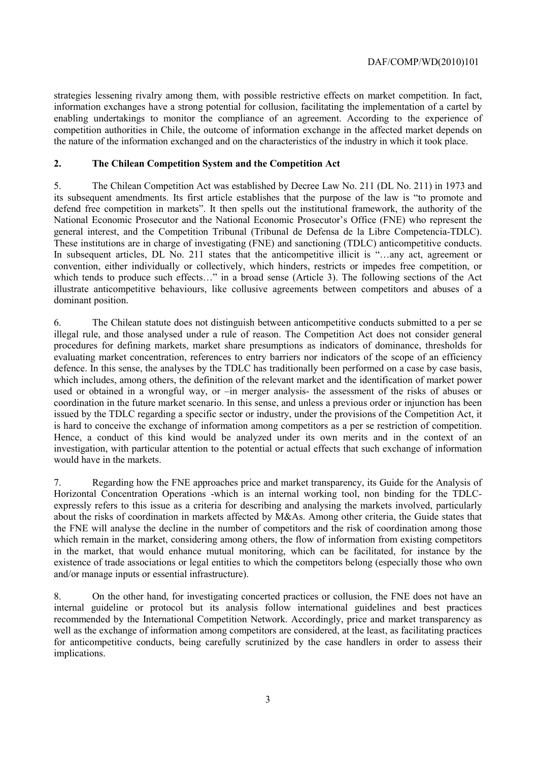strategies lessening rivalry among them, with possible restrictive effects on market competition. In fact, information exchanges have a strong potential for collusion, facilitating the implementation of a cartel by enabling undertakings to monitor the compliance of an agreement. According to the experience of competition authorities in Chile, the outcome of information exchange in the affected market depends on the nature of the information exchanged and on the characteristics of the industry in which it took place.

#### **2. The Chilean Competition System and the Competition Act**

5. The Chilean Competition Act was established by Decree Law No. 211 (DL No. 211) in 1973 and its subsequent amendments. Its first article establishes that the purpose of the law is "to promote and defend free competition in markets". It then spells out the institutional framework, the authority of the National Economic Prosecutor and the National Economic Prosecutor's Office (FNE) who represent the general interest, and the Competition Tribunal (Tribunal de Defensa de la Libre Competencia-TDLC). These institutions are in charge of investigating (FNE) and sanctioning (TDLC) anticompetitive conducts. In subsequent articles, DL No. 211 states that the anticompetitive illicit is "...any act, agreement or convention, either individually or collectively, which hinders, restricts or impedes free competition, or which tends to produce such effects…" in a broad sense (Article 3). The following sections of the Act illustrate anticompetitive behaviours, like collusive agreements between competitors and abuses of a dominant position.

6. The Chilean statute does not distinguish between anticompetitive conducts submitted to a per se illegal rule, and those analysed under a rule of reason. The Competition Act does not consider general procedures for defining markets, market share presumptions as indicators of dominance, thresholds for evaluating market concentration, references to entry barriers nor indicators of the scope of an efficiency defence. In this sense, the analyses by the TDLC has traditionally been performed on a case by case basis, which includes, among others, the definition of the relevant market and the identification of market power used or obtained in a wrongful way, or –in merger analysis- the assessment of the risks of abuses or coordination in the future market scenario. In this sense, and unless a previous order or injunction has been issued by the TDLC regarding a specific sector or industry, under the provisions of the Competition Act, it is hard to conceive the exchange of information among competitors as a per se restriction of competition. Hence, a conduct of this kind would be analyzed under its own merits and in the context of an investigation, with particular attention to the potential or actual effects that such exchange of information would have in the markets.

7. Regarding how the FNE approaches price and market transparency, its Guide for the Analysis of Horizontal Concentration Operations -which is an internal working tool, non binding for the TDLCexpressly refers to this issue as a criteria for describing and analysing the markets involved, particularly about the risks of coordination in markets affected by M&As. Among other criteria, the Guide states that the FNE will analyse the decline in the number of competitors and the risk of coordination among those which remain in the market, considering among others, the flow of information from existing competitors in the market, that would enhance mutual monitoring, which can be facilitated, for instance by the existence of trade associations or legal entities to which the competitors belong (especially those who own and/or manage inputs or essential infrastructure).

8. On the other hand, for investigating concerted practices or collusion, the FNE does not have an internal guideline or protocol but its analysis follow international guidelines and best practices recommended by the International Competition Network. Accordingly, price and market transparency as well as the exchange of information among competitors are considered, at the least, as facilitating practices for anticompetitive conducts, being carefully scrutinized by the case handlers in order to assess their implications.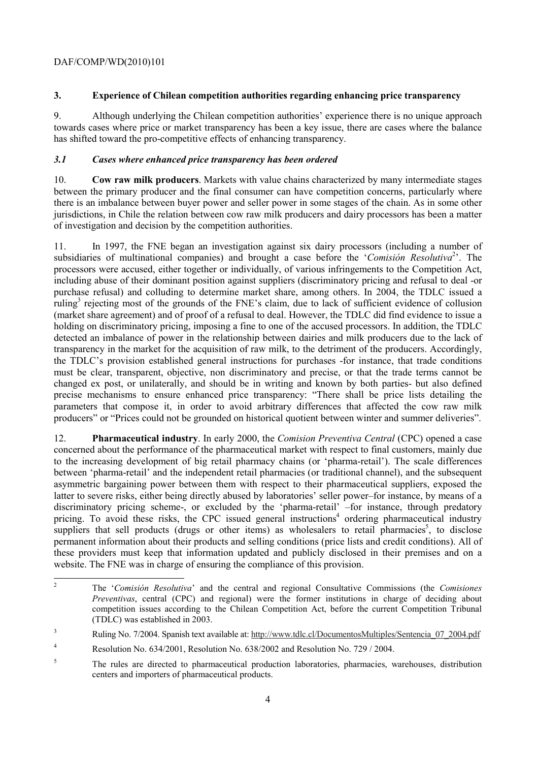### DAF/COMP/WD(2010)101

## **3. Experience of Chilean competition authorities regarding enhancing price transparency**

9. Although underlying the Chilean competition authorities' experience there is no unique approach towards cases where price or market transparency has been a key issue, there are cases where the balance has shifted toward the pro-competitive effects of enhancing transparency.

## *3.1 Cases where enhanced price transparency has been ordered*

10. **Cow raw milk producers**. Markets with value chains characterized by many intermediate stages between the primary producer and the final consumer can have competition concerns, particularly where there is an imbalance between buyer power and seller power in some stages of the chain. As in some other jurisdictions, in Chile the relation between cow raw milk producers and dairy processors has been a matter of investigation and decision by the competition authorities.

11. In 1997, the FNE began an investigation against six dairy processors (including a number of subsidiaries of multinational companies) and brought a case before the '*Comisión Resolutiva*<sup>2</sup>'. The processors were accused, either together or individually, of various infringements to the Competition Act, including abuse of their dominant position against suppliers (discriminatory pricing and refusal to deal -or purchase refusal) and colluding to determine market share, among others. In 2004, the TDLC issued a ruling<sup>3</sup> rejecting most of the grounds of the FNE's claim, due to lack of sufficient evidence of collusion (market share agreement) and of proof of a refusal to deal. However, the TDLC did find evidence to issue a holding on discriminatory pricing, imposing a fine to one of the accused processors. In addition, the TDLC detected an imbalance of power in the relationship between dairies and milk producers due to the lack of transparency in the market for the acquisition of raw milk, to the detriment of the producers. Accordingly, the TDLC's provision established general instructions for purchases -for instance, that trade conditions must be clear, transparent, objective, non discriminatory and precise, or that the trade terms cannot be changed ex post, or unilaterally, and should be in writing and known by both parties- but also defined precise mechanisms to ensure enhanced price transparency: "There shall be price lists detailing the parameters that compose it, in order to avoid arbitrary differences that affected the cow raw milk producers" or "Prices could not be grounded on historical quotient between winter and summer deliveries".

12. **Pharmaceutical industry**. In early 2000, the *Comision Preventiva Central* (CPC) opened a case concerned about the performance of the pharmaceutical market with respect to final customers, mainly due to the increasing development of big retail pharmacy chains (or 'pharma-retail'). The scale differences between 'pharma-retail' and the independent retail pharmacies (or traditional channel), and the subsequent asymmetric bargaining power between them with respect to their pharmaceutical suppliers, exposed the latter to severe risks, either being directly abused by laboratories' seller power–for instance, by means of a discriminatory pricing scheme-, or excluded by the 'pharma-retail' –for instance, through predatory pricing. To avoid these risks, the CPC issued general instructions<sup>4</sup> ordering pharmaceutical industry suppliers that sell products (drugs or other items) as wholesalers to retail pharmacies<sup>5</sup>, to disclose permanent information about their products and selling conditions (price lists and credit conditions). All of these providers must keep that information updated and publicly disclosed in their premises and on a website. The FNE was in charge of ensuring the compliance of this provision.

 $\overline{c}$ 2 The '*Comisión Resolutiva*' and the central and regional Consultative Commissions (the *Comisiones Preventivas*, central (CPC) and regional) were the former institutions in charge of deciding about competition issues according to the Chilean Competition Act, before the current Competition Tribunal (TDLC) was established in 2003.

<sup>3</sup> Ruling No. 7/2004. Spanish text available at: http://www.tdlc.cl/DocumentosMultiples/Sentencia\_07\_2004.pdf

<sup>4</sup> Resolution No. 634/2001, Resolution No. 638/2002 and Resolution No. 729 / 2004.

<sup>5</sup> The rules are directed to pharmaceutical production laboratories, pharmacies, warehouses, distribution centers and importers of pharmaceutical products.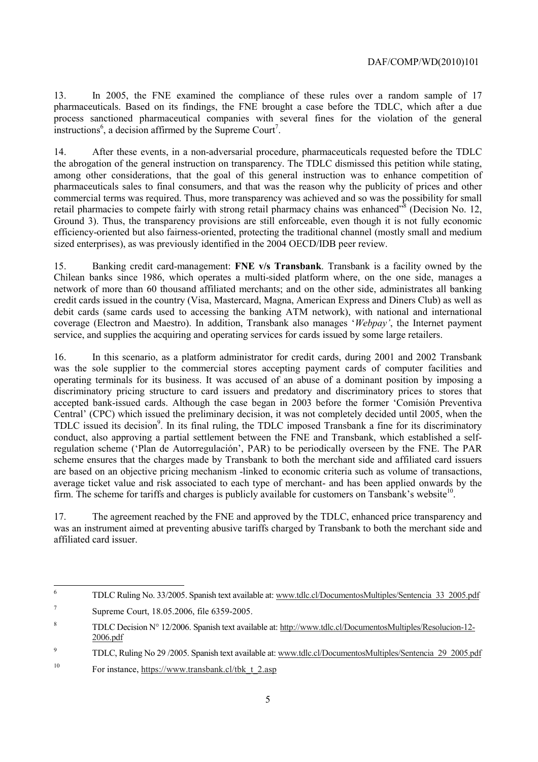13. In 2005, the FNE examined the compliance of these rules over a random sample of 17 pharmaceuticals. Based on its findings, the FNE brought a case before the TDLC, which after a due process sanctioned pharmaceutical companies with several fines for the violation of the general instructions<sup>6</sup>, a decision affirmed by the Supreme Court<sup>7</sup>.

14. After these events, in a non-adversarial procedure, pharmaceuticals requested before the TDLC the abrogation of the general instruction on transparency. The TDLC dismissed this petition while stating, among other considerations, that the goal of this general instruction was to enhance competition of pharmaceuticals sales to final consumers, and that was the reason why the publicity of prices and other commercial terms was required. Thus, more transparency was achieved and so was the possibility for small retail pharmacies to compete fairly with strong retail pharmacy chains was enhanced<sup>38</sup> (Decision No. 12, Ground 3). Thus, the transparency provisions are still enforceable, even though it is not fully economic efficiency-oriented but also fairness-oriented, protecting the traditional channel (mostly small and medium sized enterprises), as was previously identified in the 2004 OECD/IDB peer review.

15. Banking credit card-management: **FNE v/s Transbank**. Transbank is a facility owned by the Chilean banks since 1986, which operates a multi-sided platform where, on the one side, manages a network of more than 60 thousand affiliated merchants; and on the other side, administrates all banking credit cards issued in the country (Visa, Mastercard, Magna, American Express and Diners Club) as well as debit cards (same cards used to accessing the banking ATM network), with national and international coverage (Electron and Maestro). In addition, Transbank also manages '*Webpay'*, the Internet payment service, and supplies the acquiring and operating services for cards issued by some large retailers.

16. In this scenario, as a platform administrator for credit cards, during 2001 and 2002 Transbank was the sole supplier to the commercial stores accepting payment cards of computer facilities and operating terminals for its business. It was accused of an abuse of a dominant position by imposing a discriminatory pricing structure to card issuers and predatory and discriminatory prices to stores that accepted bank-issued cards. Although the case began in 2003 before the former 'Comisión Preventiva Central' (CPC) which issued the preliminary decision, it was not completely decided until 2005, when the TDLC issued its decision<sup>9</sup>. In its final ruling, the TDLC imposed Transbank a fine for its discriminatory conduct, also approving a partial settlement between the FNE and Transbank, which established a selfregulation scheme ('Plan de Autorregulación', PAR) to be periodically overseen by the FNE. The PAR scheme ensures that the charges made by Transbank to both the merchant side and affiliated card issuers are based on an objective pricing mechanism -linked to economic criteria such as volume of transactions, average ticket value and risk associated to each type of merchant- and has been applied onwards by the firm. The scheme for tariffs and charges is publicly available for customers on Tansbank's website<sup>10</sup>.

17. The agreement reached by the FNE and approved by the TDLC, enhanced price transparency and was an instrument aimed at preventing abusive tariffs charged by Transbank to both the merchant side and affiliated card issuer.

 $\frac{1}{6}$ TDLC Ruling No. 33/2005. Spanish text available at: www.tdlc.cl/DocumentosMultiples/Sentencia\_33\_2005.pdf

<sup>7</sup> Supreme Court, 18.05.2006, file 6359-2005.

<sup>8</sup> TDLC Decision N° 12/2006. Spanish text available at: http://www.tdlc.cl/DocumentosMultiples/Resolucion-12- 2006.pdf

<sup>9</sup> TDLC, Ruling No 29 /2005. Spanish text available at: www.tdlc.cl/DocumentosMultiples/Sentencia\_29\_2005.pdf

<sup>&</sup>lt;sup>10</sup> For instance,  $\frac{https://www.transbank_cl/bk_t2.asp}{https://www.transbank_cl/bk_t2.asp}$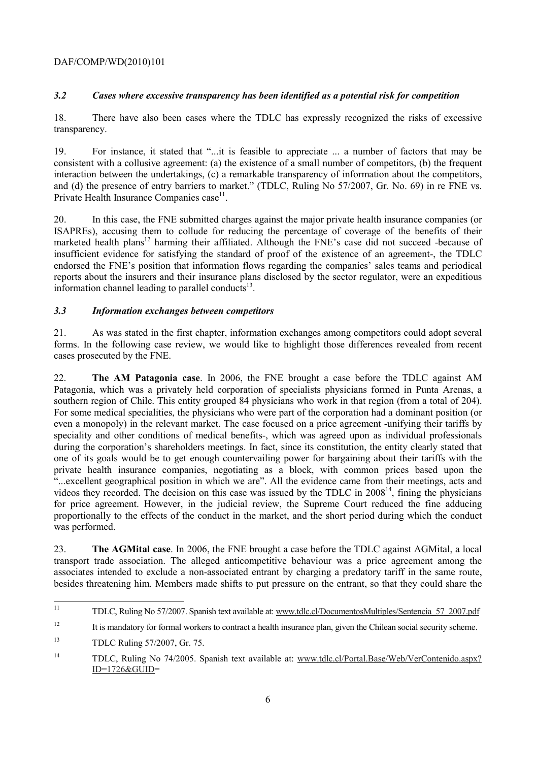### DAF/COMP/WD(2010)101

# *3.2 Cases where excessive transparency has been identified as a potential risk for competition*

18. There have also been cases where the TDLC has expressly recognized the risks of excessive transparency.

19. For instance, it stated that "...it is feasible to appreciate ... a number of factors that may be consistent with a collusive agreement: (a) the existence of a small number of competitors, (b) the frequent interaction between the undertakings, (c) a remarkable transparency of information about the competitors, and (d) the presence of entry barriers to market." (TDLC, Ruling No 57/2007, Gr. No. 69) in re FNE vs. Private Health Insurance Companies case<sup>11</sup>.

20. In this case, the FNE submitted charges against the major private health insurance companies (or ISAPREs), accusing them to collude for reducing the percentage of coverage of the benefits of their marketed health plans<sup>12</sup> harming their affiliated. Although the FNE's case did not succeed -because of insufficient evidence for satisfying the standard of proof of the existence of an agreement-, the TDLC endorsed the FNE's position that information flows regarding the companies' sales teams and periodical reports about the insurers and their insurance plans disclosed by the sector regulator, were an expeditious information channel leading to parallel conducts $^{13}$ .

### *3.3 Information exchanges between competitors*

21. As was stated in the first chapter, information exchanges among competitors could adopt several forms. In the following case review, we would like to highlight those differences revealed from recent cases prosecuted by the FNE.

22. **The AM Patagonia case**. In 2006, the FNE brought a case before the TDLC against AM Patagonia, which was a privately held corporation of specialists physicians formed in Punta Arenas, a southern region of Chile. This entity grouped 84 physicians who work in that region (from a total of 204). For some medical specialities, the physicians who were part of the corporation had a dominant position (or even a monopoly) in the relevant market. The case focused on a price agreement -unifying their tariffs by speciality and other conditions of medical benefits-, which was agreed upon as individual professionals during the corporation's shareholders meetings. In fact, since its constitution, the entity clearly stated that one of its goals would be to get enough countervailing power for bargaining about their tariffs with the private health insurance companies, negotiating as a block, with common prices based upon the "...excellent geographical position in which we are". All the evidence came from their meetings, acts and videos they recorded. The decision on this case was issued by the TDLC in  $2008<sup>14</sup>$ , fining the physicians for price agreement. However, in the judicial review, the Supreme Court reduced the fine adducing proportionally to the effects of the conduct in the market, and the short period during which the conduct was performed.

23. **The AGMital case**. In 2006, the FNE brought a case before the TDLC against AGMital, a local transport trade association. The alleged anticompetitive behaviour was a price agreement among the associates intended to exclude a non-associated entrant by charging a predatory tariff in the same route, besides threatening him. Members made shifts to put pressure on the entrant, so that they could share the

 $11$ 11 TDLC, Ruling No 57/2007. Spanish text available at: www.tdlc.cl/DocumentosMultiples/Sentencia\_57\_2007.pdf

<sup>&</sup>lt;sup>12</sup> It is mandatory for formal workers to contract a health insurance plan, given the Chilean social security scheme.

<sup>13</sup> TDLC Ruling 57/2007, Gr. 75.

<sup>14</sup> TDLC, Ruling No 74/2005. Spanish text available at: www.tdlc.cl/Portal.Base/Web/VerContenido.aspx? ID=1726&GUID=